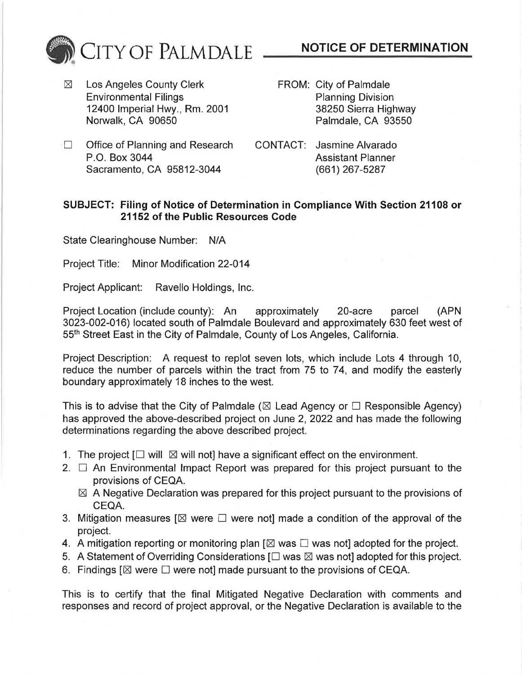

 $\boxtimes$  Los Angeles County Clerk Environmental Filings 12400 Imperial Hwy., Rm. 2001 Norwalk, CA 90650

- **NOTICE OF DETERMINATION**
- FROM: City of Palmdale Planning Division 38250 Sierra Highway Palmdale, CA 93550
- $\Box$  Office of Planning and Research P.O. Box 3044 Sacramento, CA 95812-3044
- CONTACT: Jasmine Alvarado Assistant Planner (661) 267-5287

## **SUBJECT: Filing of Notice of Determination in Compliance With Section 21108 or 21152 of the Public Resources Code**

State Clearinghouse Number: N/A

Project Title: Minor Modification 22-014

Project Applicant: Ravello Holdings, Inc.

Project Location (include county): An approximately 20-acre parcel (APN 3023-002-016) located south of Palmdale Boulevard and approximately 630 feet west of 55th Street East in the City of Palmdale, County of Los Angeles, California.

Project Description: A request to replot seven lots, which include Lots 4 through 10, reduce the number of parcels within the tract from 75 to 74, and modify the easterly boundary approximately 18 inches to the west.

This is to advise that the City of Palmdale ( $\boxtimes$  Lead Agency or  $\Box$  Responsible Agency) has approved the above-described project on June 2, 2022 and has made the following determinations regarding the above described project.

- 1. The project  $\Box$  will  $\boxtimes$  will not] have a significant effect on the environment.
- 2.  $\Box$  An Environmental Impact Report was prepared for this project pursuant to the provisions of CEQA.
	- $\boxtimes$  A Negative Declaration was prepared for this project pursuant to the provisions of CEQA.
- 3. Mitigation measures  $[\boxtimes$  were  $\square$  were not] made a condition of the approval of the project.
- 4. A mitigation reporting or monitoring plan  $[\boxtimes$  was  $\square$  was not) adopted for the project.
- 5. A Statement of Overriding Considerations  $[\Box$  was  $\boxtimes$  was not] adopted for this project.
- 6. Findings  $[\boxtimes]$  were  $\square$  were not] made pursuant to the provisions of CEQA.

This is to certify that the final Mitigated Negative Declaration with comments and responses and record of project approval, or the Negative Declaration is available to the